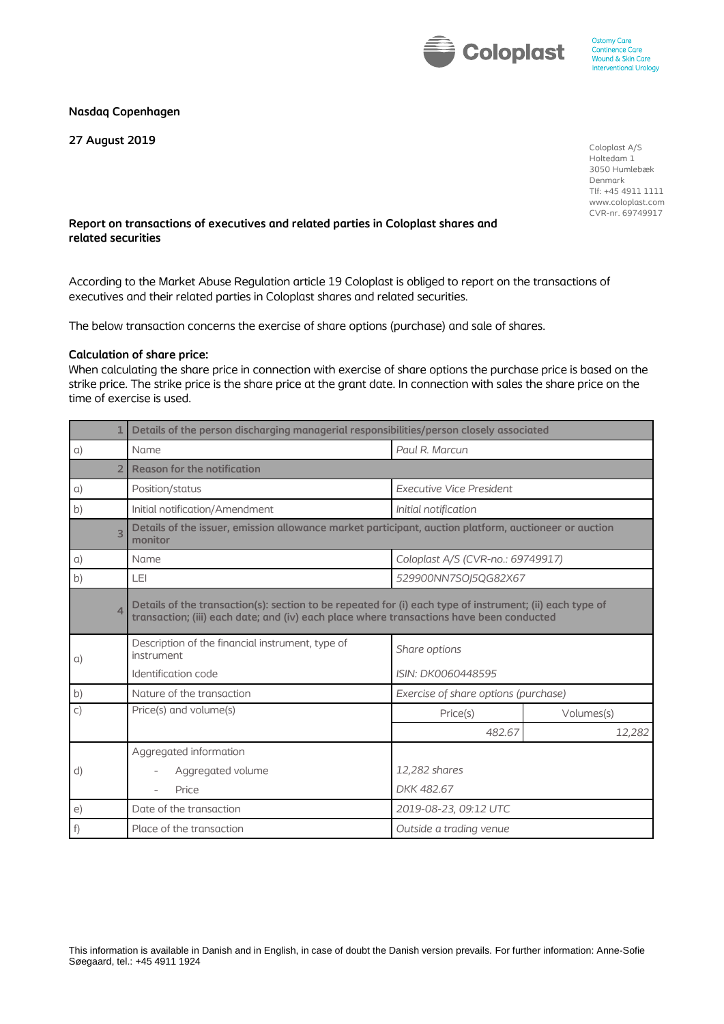

## **Nasdaq Copenhagen**

**27 August 2019**

Coloplast A/S Holtedam 1 3050 Humlebæk Denmark Tlf: +45 4911 1111 www.coloplast.com CVR-nr. 69749917

## **Report on transactions of executives and related parties in Coloplast shares and related securities**

According to the Market Abuse Regulation article 19 Coloplast is obliged to report on the transactions of executives and their related parties in Coloplast shares and related securities.

The below transaction concerns the exercise of share options (purchase) and sale of shares.

## **Calculation of share price:**

When calculating the share price in connection with exercise of share options the purchase price is based on the strike price. The strike price is the share price at the grant date. In connection with sales the share price on the time of exercise is used.

| $\mathbf{1}$   | Details of the person discharging managerial responsibilities/person closely associated                                                                                                              |                                      |            |  |
|----------------|------------------------------------------------------------------------------------------------------------------------------------------------------------------------------------------------------|--------------------------------------|------------|--|
| $\alpha$ )     | Name                                                                                                                                                                                                 | Paul R. Marcun                       |            |  |
| $\overline{2}$ | <b>Reason for the notification</b>                                                                                                                                                                   |                                      |            |  |
| a)             | Position/status                                                                                                                                                                                      | <b>Executive Vice President</b>      |            |  |
| b)             | Initial notification/Amendment                                                                                                                                                                       | Initial notification                 |            |  |
| $\overline{3}$ | Details of the issuer, emission allowance market participant, auction platform, auctioneer or auction<br>monitor                                                                                     |                                      |            |  |
| $\alpha$ )     | Name                                                                                                                                                                                                 | Coloplast A/S (CVR-no.: 69749917)    |            |  |
| b)             | LEI                                                                                                                                                                                                  | 529900NN7SOJ5QG82X67                 |            |  |
| $\overline{4}$ | Details of the transaction(s): section to be repeated for (i) each type of instrument; (ii) each type of<br>transaction; (iii) each date; and (iv) each place where transactions have been conducted |                                      |            |  |
| a)             | Description of the financial instrument, type of<br>instrument                                                                                                                                       | Share options                        |            |  |
|                | Identification code                                                                                                                                                                                  | ISIN: DK0060448595                   |            |  |
| b)             | Nature of the transaction                                                                                                                                                                            | Exercise of share options (purchase) |            |  |
| $\mathsf{C}$   | Price(s) and volume(s)                                                                                                                                                                               | Price(s)                             | Volumes(s) |  |
|                |                                                                                                                                                                                                      | 482.67                               | 12,282     |  |
|                | Aggregated information                                                                                                                                                                               |                                      |            |  |
| d)             | Aggregated volume                                                                                                                                                                                    | 12,282 shares                        |            |  |
|                | Price                                                                                                                                                                                                | DKK 482.67                           |            |  |
| $\epsilon$     | Date of the transaction                                                                                                                                                                              | 2019-08-23, 09:12 UTC                |            |  |
| f)             | Place of the transaction                                                                                                                                                                             | Outside a trading venue              |            |  |